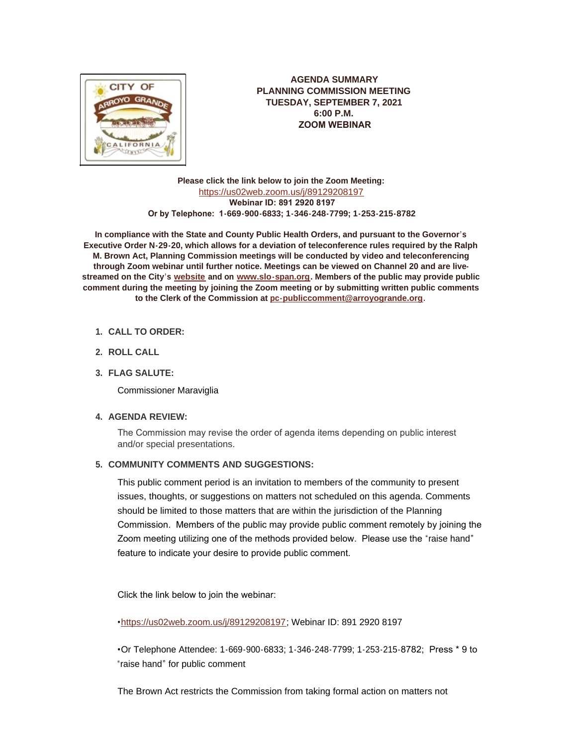

**AGENDA SUMMARY PLANNING COMMISSION MEETING TUESDAY, SEPTEMBER 7, 2021 6:00 P.M. ZOOM WEBINAR**

**Please click the link below to join the Zoom Meeting:** <https://us02web.zoom.us/j/89129208197>  **Webinar ID: 891 2920 8197 Or by Telephone: 1-669-900-6833; 1-346-248-7799; 1-253-215-8782**

**In compliance with the State and County Public Health Orders, and pursuant to the Governor's Executive Order N-29-20, which allows for a deviation of teleconference rules required by the Ralph M. Brown Act, Planning Commission meetings will be conducted by video and teleconferencing through Zoom webinar until further notice. Meetings can be viewed on Channel 20 and are livestreamed on the City's [website](http://www.arroyogrande.org/) and on [www.slo-span.org.](http://www.slo-span.org/) Members of the public may provide public comment during the meeting by joining the Zoom meeting or by submitting written public comments to the Clerk of the Commission at [pc-publiccomment@arroyogrande.org](mailto:pc-publiccomment@arroyogande.org).** 

- **CALL TO ORDER: 1.**
- **ROLL CALL 2.**
- **FLAG SALUTE: 3.**

Commissioner Maraviglia

# **AGENDA REVIEW: 4.**

The Commission may revise the order of agenda items depending on public interest and/or special presentations.

## **COMMUNITY COMMENTS AND SUGGESTIONS: 5.**

This public comment period is an invitation to members of the community to present issues, thoughts, or suggestions on matters not scheduled on this agenda. Comments should be limited to those matters that are within the jurisdiction of the Planning Commission. Members of the public may provide public comment remotely by joining the Zoom meeting utilizing one of the methods provided below. Please use the "raise hand" feature to indicate your desire to provide public comment.

Click the link below to join the webinar:

•<https://us02web.zoom.us/j/89129208197>; Webinar ID: 891 2920 8197

•Or Telephone Attendee: 1-669-900-6833; 1-346-248-7799; 1-253-215-8782; Press \* 9 to "raise hand" for public comment

The Brown Act restricts the Commission from taking formal action on matters not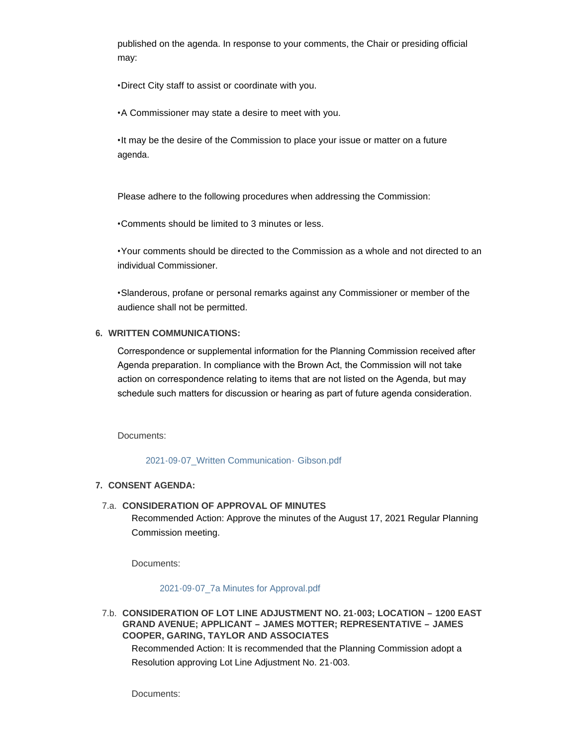published on the agenda. In response to your comments, the Chair or presiding official may:

•Direct City staff to assist or coordinate with you.

•A Commissioner may state a desire to meet with you.

•It may be the desire of the Commission to place your issue or matter on a future agenda.

Please adhere to the following procedures when addressing the Commission:

•Comments should be limited to 3 minutes or less.

•Your comments should be directed to the Commission as a whole and not directed to an individual Commissioner.

•Slanderous, profane or personal remarks against any Commissioner or member of the audience shall not be permitted.

## **WRITTEN COMMUNICATIONS: 6.**

Correspondence or supplemental information for the Planning Commission received after Agenda preparation. In compliance with the Brown Act, the Commission will not take action on correspondence relating to items that are not listed on the Agenda, but may schedule such matters for discussion or hearing as part of future agenda consideration.

Documents:

[2021-09-07\\_Written Communication-](http://www.arroyogrande.org/AgendaCenter/ViewFile/Item/11140?fileID=17423) Gibson.pdf

### **CONSENT AGENDA: 7.**

### **CONSIDERATION OF APPROVAL OF MINUTES** 7.a.

Recommended Action: Approve the minutes of the August 17, 2021 Regular Planning Commission meeting.

Documents:

#### [2021-09-07\\_7a Minutes for Approval.pdf](http://www.arroyogrande.org/AgendaCenter/ViewFile/Item/11440?fileID=17424)

**CONSIDERATION OF LOT LINE ADJUSTMENT NO. 21-003; LOCATION – 1200 EAST**  7.b. **GRAND AVENUE; APPLICANT – JAMES MOTTER; REPRESENTATIVE – JAMES COOPER, GARING, TAYLOR AND ASSOCIATES**

Recommended Action: It is recommended that the Planning Commission adopt a Resolution approving Lot Line Adjustment No. 21-003.

Documents: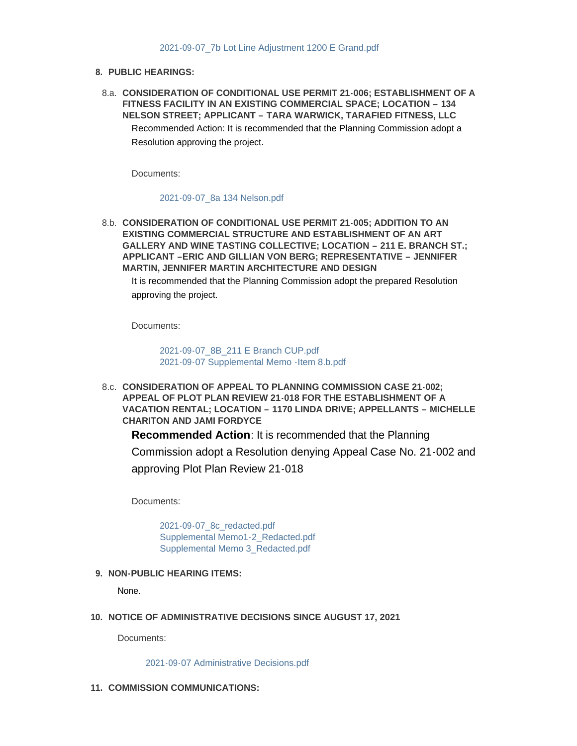### **PUBLIC HEARINGS: 8.**

**CONSIDERATION OF CONDITIONAL USE PERMIT 21-006; ESTABLISHMENT OF A**  8.a. **FITNESS FACILITY IN AN EXISTING COMMERCIAL SPACE; LOCATION – 134 NELSON STREET; APPLICANT – TARA WARWICK, TARAFIED FITNESS, LLC**  Recommended Action: It is recommended that the Planning Commission adopt a Resolution approving the project.

Documents:

[2021-09-07\\_8a 134 Nelson.pdf](http://www.arroyogrande.org/AgendaCenter/ViewFile/Item/11427?fileID=17422)

**CONSIDERATION OF CONDITIONAL USE PERMIT 21-005; ADDITION TO AN**  8.b. **EXISTING COMMERCIAL STRUCTURE AND ESTABLISHMENT OF AN ART GALLERY AND WINE TASTING COLLECTIVE; LOCATION – 211 E. BRANCH ST.; APPLICANT –ERIC AND GILLIAN VON BERG; REPRESENTATIVE – JENNIFER MARTIN, JENNIFER MARTIN ARCHITECTURE AND DESIGN**

It is recommended that the Planning Commission adopt the prepared Resolution approving the project.

Documents:

[2021-09-07\\_8B\\_211 E Branch CUP.pdf](http://www.arroyogrande.org/AgendaCenter/ViewFile/Item/11442?fileID=17427) [2021-09-07 Supplemental Memo -Item 8.b.pdf](http://www.arroyogrande.org/AgendaCenter/ViewFile/Item/11442?fileID=17428)

**CONSIDERATION OF APPEAL TO PLANNING COMMISSION CASE 21-002;**  8.c. **APPEAL OF PLOT PLAN REVIEW 21-018 FOR THE ESTABLISHMENT OF A VACATION RENTAL; LOCATION – 1170 LINDA DRIVE; APPELLANTS – MICHELLE CHARITON AND JAMI FORDYCE**

**Recommended Action**: It is recommended that the Planning

Commission adopt a Resolution denying Appeal Case No. 21-002 and approving Plot Plan Review 21-018

Documents:

[2021-09-07\\_8c\\_redacted.pdf](http://www.arroyogrande.org/AgendaCenter/ViewFile/Item/11444?fileID=17431) [Supplemental Memo1-2\\_Redacted.pdf](http://www.arroyogrande.org/AgendaCenter/ViewFile/Item/11444?fileID=17432) [Supplemental Memo 3\\_Redacted.pdf](http://www.arroyogrande.org/AgendaCenter/ViewFile/Item/11444?fileID=17433)

## **NON-PUBLIC HEARING ITEMS: 9.**

None.

### **NOTICE OF ADMINISTRATIVE DECISIONS SINCE AUGUST 17, 2021 10.**

Documents:

[2021-09-07 Administrative Decisions.pdf](http://www.arroyogrande.org/AgendaCenter/ViewFile/Item/11144?fileID=17419)

11. COMMISSION COMMUNICATIONS: